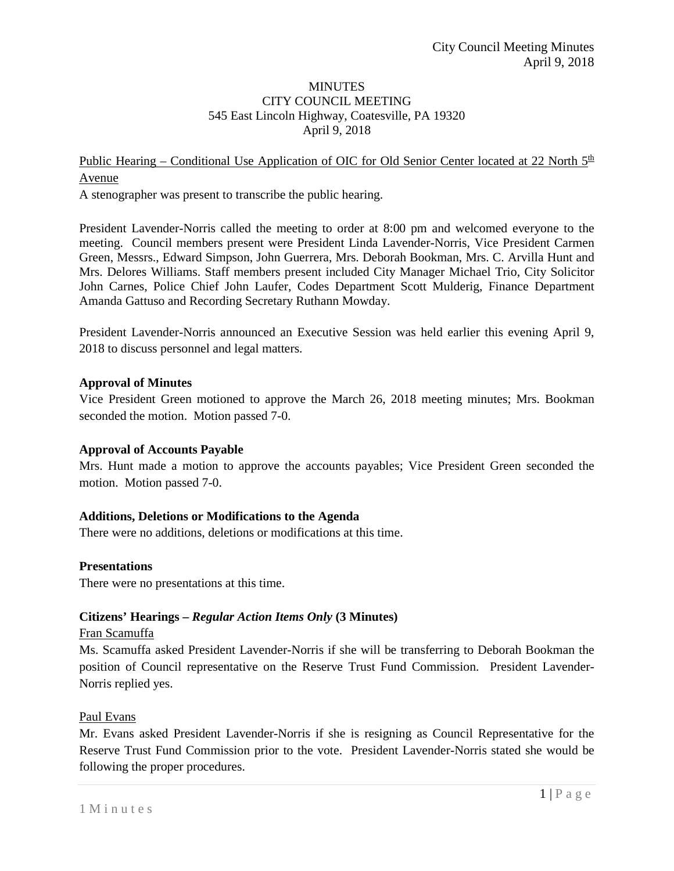### **MINUTES** CITY COUNCIL MEETING 545 East Lincoln Highway, Coatesville, PA 19320 April 9, 2018

# Public Hearing – Conditional Use Application of OIC for Old Senior Center located at 22 North  $5<sup>th</sup>$ Avenue

A stenographer was present to transcribe the public hearing.

President Lavender-Norris called the meeting to order at 8:00 pm and welcomed everyone to the meeting. Council members present were President Linda Lavender-Norris, Vice President Carmen Green, Messrs., Edward Simpson, John Guerrera, Mrs. Deborah Bookman, Mrs. C. Arvilla Hunt and Mrs. Delores Williams. Staff members present included City Manager Michael Trio, City Solicitor John Carnes, Police Chief John Laufer, Codes Department Scott Mulderig, Finance Department Amanda Gattuso and Recording Secretary Ruthann Mowday.

President Lavender-Norris announced an Executive Session was held earlier this evening April 9, 2018 to discuss personnel and legal matters.

### **Approval of Minutes**

Vice President Green motioned to approve the March 26, 2018 meeting minutes; Mrs. Bookman seconded the motion. Motion passed 7-0.

### **Approval of Accounts Payable**

Mrs. Hunt made a motion to approve the accounts payables; Vice President Green seconded the motion. Motion passed 7-0.

### **Additions, Deletions or Modifications to the Agenda**

There were no additions, deletions or modifications at this time.

#### **Presentations**

There were no presentations at this time.

### **Citizens' Hearings –** *Regular Action Items Only* **(3 Minutes)**

#### Fran Scamuffa

Ms. Scamuffa asked President Lavender-Norris if she will be transferring to Deborah Bookman the position of Council representative on the Reserve Trust Fund Commission. President Lavender-Norris replied yes.

#### Paul Evans

Mr. Evans asked President Lavender-Norris if she is resigning as Council Representative for the Reserve Trust Fund Commission prior to the vote. President Lavender-Norris stated she would be following the proper procedures.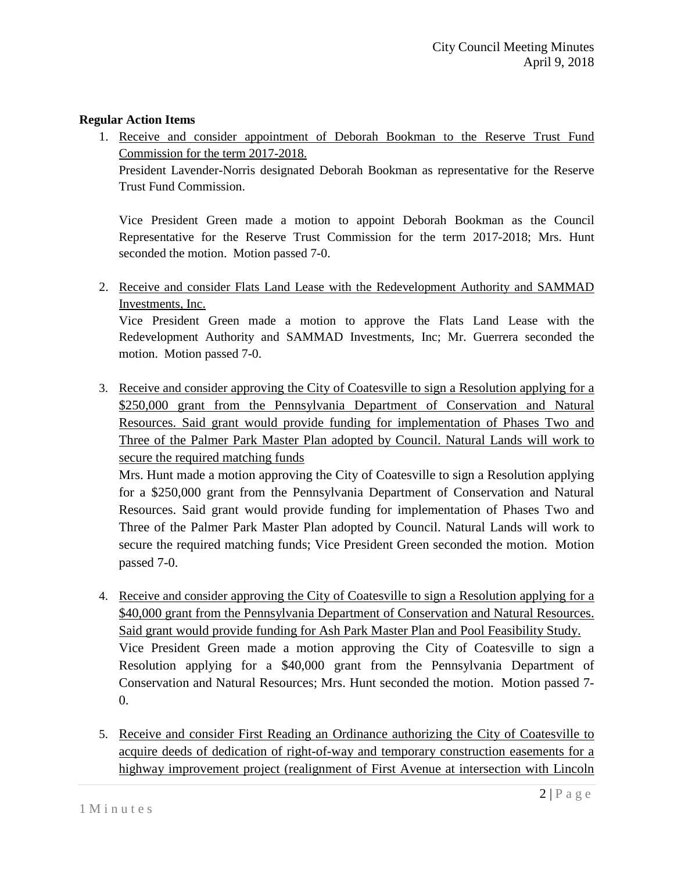## **Regular Action Items**

1. Receive and consider appointment of Deborah Bookman to the Reserve Trust Fund Commission for the term 2017-2018.

President Lavender-Norris designated Deborah Bookman as representative for the Reserve Trust Fund Commission.

Vice President Green made a motion to appoint Deborah Bookman as the Council Representative for the Reserve Trust Commission for the term 2017-2018; Mrs. Hunt seconded the motion. Motion passed 7-0.

2. Receive and consider Flats Land Lease with the Redevelopment Authority and SAMMAD Investments, Inc.

Vice President Green made a motion to approve the Flats Land Lease with the Redevelopment Authority and SAMMAD Investments, Inc; Mr. Guerrera seconded the motion. Motion passed 7-0.

3. Receive and consider approving the City of Coatesville to sign a Resolution applying for a \$250,000 grant from the Pennsylvania Department of Conservation and Natural Resources. Said grant would provide funding for implementation of Phases Two and Three of the Palmer Park Master Plan adopted by Council. Natural Lands will work to secure the required matching funds

Mrs. Hunt made a motion approving the City of Coatesville to sign a Resolution applying for a \$250,000 grant from the Pennsylvania Department of Conservation and Natural Resources. Said grant would provide funding for implementation of Phases Two and Three of the Palmer Park Master Plan adopted by Council. Natural Lands will work to secure the required matching funds; Vice President Green seconded the motion. Motion passed 7-0.

- 4. Receive and consider approving the City of Coatesville to sign a Resolution applying for a \$40,000 grant from the Pennsylvania Department of Conservation and Natural Resources. Said grant would provide funding for Ash Park Master Plan and Pool Feasibility Study. Vice President Green made a motion approving the City of Coatesville to sign a Resolution applying for a \$40,000 grant from the Pennsylvania Department of Conservation and Natural Resources; Mrs. Hunt seconded the motion. Motion passed 7- 0.
- 5. Receive and consider First Reading an Ordinance authorizing the City of Coatesville to acquire deeds of dedication of right-of-way and temporary construction easements for a highway improvement project (realignment of First Avenue at intersection with Lincoln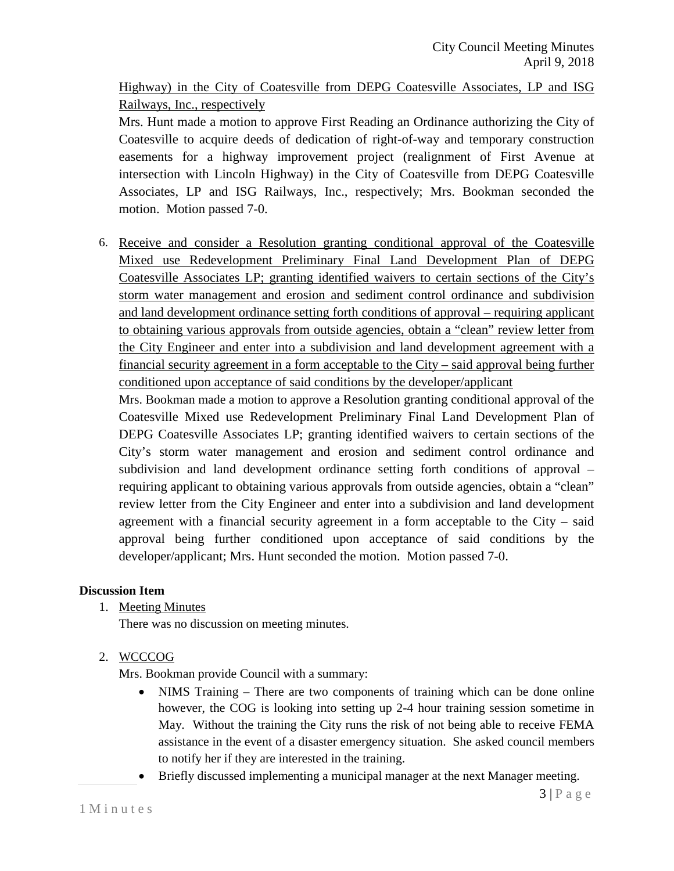Highway) in the City of Coatesville from DEPG Coatesville Associates, LP and ISG Railways, Inc., respectively

Mrs. Hunt made a motion to approve First Reading an Ordinance authorizing the City of Coatesville to acquire deeds of dedication of right-of-way and temporary construction easements for a highway improvement project (realignment of First Avenue at intersection with Lincoln Highway) in the City of Coatesville from DEPG Coatesville Associates, LP and ISG Railways, Inc., respectively; Mrs. Bookman seconded the motion. Motion passed 7-0.

6. Receive and consider a Resolution granting conditional approval of the Coatesville Mixed use Redevelopment Preliminary Final Land Development Plan of DEPG Coatesville Associates LP; granting identified waivers to certain sections of the City's storm water management and erosion and sediment control ordinance and subdivision and land development ordinance setting forth conditions of approval – requiring applicant to obtaining various approvals from outside agencies, obtain a "clean" review letter from the City Engineer and enter into a subdivision and land development agreement with a financial security agreement in a form acceptable to the City – said approval being further conditioned upon acceptance of said conditions by the developer/applicant

Mrs. Bookman made a motion to approve a Resolution granting conditional approval of the Coatesville Mixed use Redevelopment Preliminary Final Land Development Plan of DEPG Coatesville Associates LP; granting identified waivers to certain sections of the City's storm water management and erosion and sediment control ordinance and subdivision and land development ordinance setting forth conditions of approval – requiring applicant to obtaining various approvals from outside agencies, obtain a "clean" review letter from the City Engineer and enter into a subdivision and land development agreement with a financial security agreement in a form acceptable to the City – said approval being further conditioned upon acceptance of said conditions by the developer/applicant; Mrs. Hunt seconded the motion. Motion passed 7-0.

### **Discussion Item**

1. Meeting Minutes

There was no discussion on meeting minutes.

2. WCCCOG

Mrs. Bookman provide Council with a summary:

- NIMS Training There are two components of training which can be done online however, the COG is looking into setting up 2-4 hour training session sometime in May. Without the training the City runs the risk of not being able to receive FEMA assistance in the event of a disaster emergency situation. She asked council members to notify her if they are interested in the training.
- Briefly discussed implementing a municipal manager at the next Manager meeting.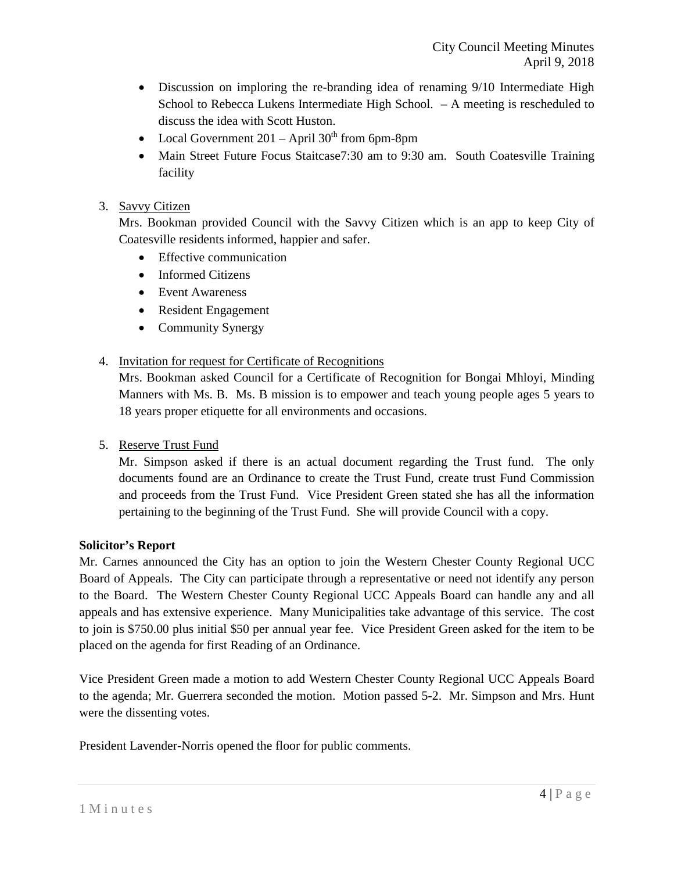- Discussion on imploring the re-branding idea of renaming 9/10 Intermediate High School to Rebecca Lukens Intermediate High School. – A meeting is rescheduled to discuss the idea with Scott Huston.
- Local Government  $201 -$ April  $30<sup>th</sup>$  from 6pm-8pm
- Main Street Future Focus Staitcase7:30 am to 9:30 am. South Coatesville Training facility

## 3. Savvy Citizen

Mrs. Bookman provided Council with the Savvy Citizen which is an app to keep City of Coatesville residents informed, happier and safer.

- Effective communication
- Informed Citizens
- Event Awareness
- Resident Engagement
- Community Synergy
- 4. Invitation for request for Certificate of Recognitions

Mrs. Bookman asked Council for a Certificate of Recognition for Bongai Mhloyi, Minding Manners with Ms. B. Ms. B mission is to empower and teach young people ages 5 years to 18 years proper etiquette for all environments and occasions.

5. Reserve Trust Fund

Mr. Simpson asked if there is an actual document regarding the Trust fund. The only documents found are an Ordinance to create the Trust Fund, create trust Fund Commission and proceeds from the Trust Fund. Vice President Green stated she has all the information pertaining to the beginning of the Trust Fund. She will provide Council with a copy.

### **Solicitor's Report**

Mr. Carnes announced the City has an option to join the Western Chester County Regional UCC Board of Appeals. The City can participate through a representative or need not identify any person to the Board. The Western Chester County Regional UCC Appeals Board can handle any and all appeals and has extensive experience. Many Municipalities take advantage of this service. The cost to join is \$750.00 plus initial \$50 per annual year fee. Vice President Green asked for the item to be placed on the agenda for first Reading of an Ordinance.

Vice President Green made a motion to add Western Chester County Regional UCC Appeals Board to the agenda; Mr. Guerrera seconded the motion. Motion passed 5-2. Mr. Simpson and Mrs. Hunt were the dissenting votes.

President Lavender-Norris opened the floor for public comments.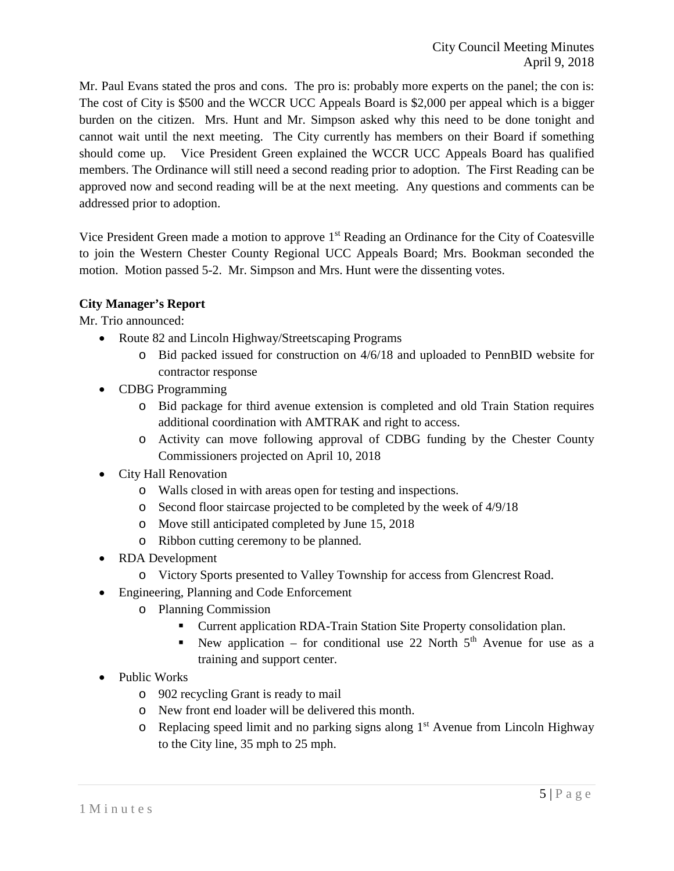Mr. Paul Evans stated the pros and cons. The pro is: probably more experts on the panel; the con is: The cost of City is \$500 and the WCCR UCC Appeals Board is \$2,000 per appeal which is a bigger burden on the citizen. Mrs. Hunt and Mr. Simpson asked why this need to be done tonight and cannot wait until the next meeting. The City currently has members on their Board if something should come up. Vice President Green explained the WCCR UCC Appeals Board has qualified members. The Ordinance will still need a second reading prior to adoption. The First Reading can be approved now and second reading will be at the next meeting. Any questions and comments can be addressed prior to adoption.

Vice President Green made a motion to approve 1<sup>st</sup> Reading an Ordinance for the City of Coatesville to join the Western Chester County Regional UCC Appeals Board; Mrs. Bookman seconded the motion. Motion passed 5-2. Mr. Simpson and Mrs. Hunt were the dissenting votes.

## **City Manager's Report**

Mr. Trio announced:

- Route 82 and Lincoln Highway/Streetscaping Programs
	- o Bid packed issued for construction on 4/6/18 and uploaded to PennBID website for contractor response
- CDBG Programming
	- o Bid package for third avenue extension is completed and old Train Station requires additional coordination with AMTRAK and right to access.
	- o Activity can move following approval of CDBG funding by the Chester County Commissioners projected on April 10, 2018
- City Hall Renovation
	- o Walls closed in with areas open for testing and inspections.
	- o Second floor staircase projected to be completed by the week of 4/9/18
	- o Move still anticipated completed by June 15, 2018
	- o Ribbon cutting ceremony to be planned.
- RDA Development
	- o Victory Sports presented to Valley Township for access from Glencrest Road.
- Engineering, Planning and Code Enforcement
	- o Planning Commission
		- Current application RDA-Train Station Site Property consolidation plan.
		- New application for conditional use 22 North  $5<sup>th</sup>$  Avenue for use as a training and support center.
- Public Works
	- o 902 recycling Grant is ready to mail
	- o New front end loader will be delivered this month.
	- o Replacing speed limit and no parking signs along 1st Avenue from Lincoln Highway to the City line, 35 mph to 25 mph.